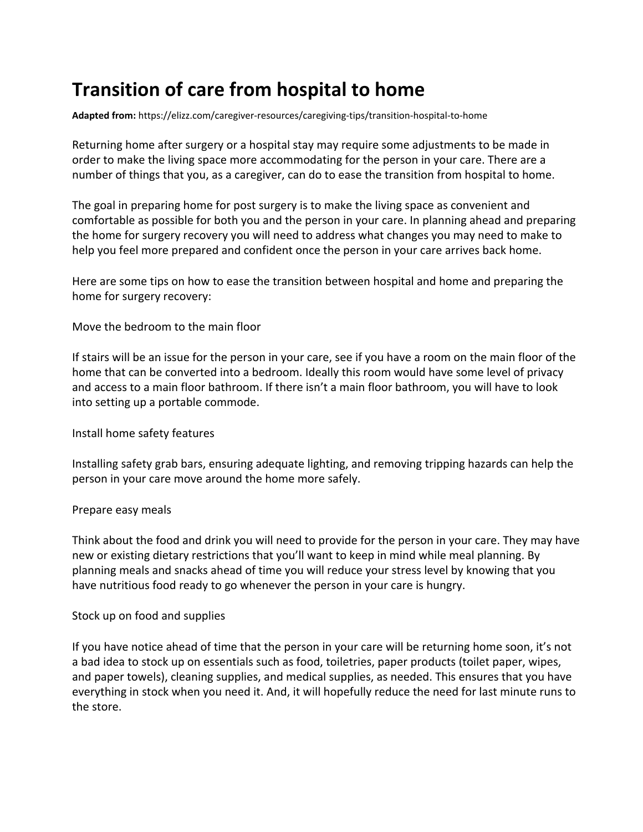# **Transition of care from hospital to home**

**Adapted from:** <https://elizz.com/caregiver-resources/caregiving-tips/transition-hospital-to-home>

Returning home after surgery or a hospital stay may require some adjustments to be made in order to make the living space more accommodating for the person in your care. There are a number of things that you, as a caregiver, can do to ease the transition from hospital to home.

The goal in preparing home for post surgery is to make the living space as convenient and comfortable as possible for both you and the person in your care. In planning ahead and preparing the home for surgery recovery you will need to address what changes you may need to make to help you feel more prepared and confident once the person in your care arrives back home.

Here are some tips on how to ease the transition between hospital and home and preparing the home for surgery recovery:

Move the bedroom to the main floor

If stairs will be an issue for the person in your care, see if you have a room on the main floor of the home that can be converted into a bedroom. Ideally this room would have some level of privacy and access to a main floor bathroom. If there isn't a main floor bathroom, you will have to look into setting up a portable commode.

Install home safety features

Installing safety grab bars, ensuring adequate lighting, and removing tripping hazards can help the person in your care move around the home more safely.

#### Prepare easy meals

Think about the food and drink you will need to provide for the person in your care. They may have new or existing dietary restrictions that you'll want to keep in mind while meal planning. By planning meals and snacks ahead of time you will reduce your stress level by knowing that you have nutritious food ready to go whenever the person in your care is hungry.

### Stock up on food and supplies

If you have notice ahead of time that the person in your care will be returning home soon, it's not a bad idea to stock up on essentials such as food, toiletries, paper products (toilet paper, wipes, and paper towels), cleaning supplies, and medical supplies, as needed. This ensures that you have everything in stock when you need it. And, it will hopefully reduce the need for last minute runs to the store.